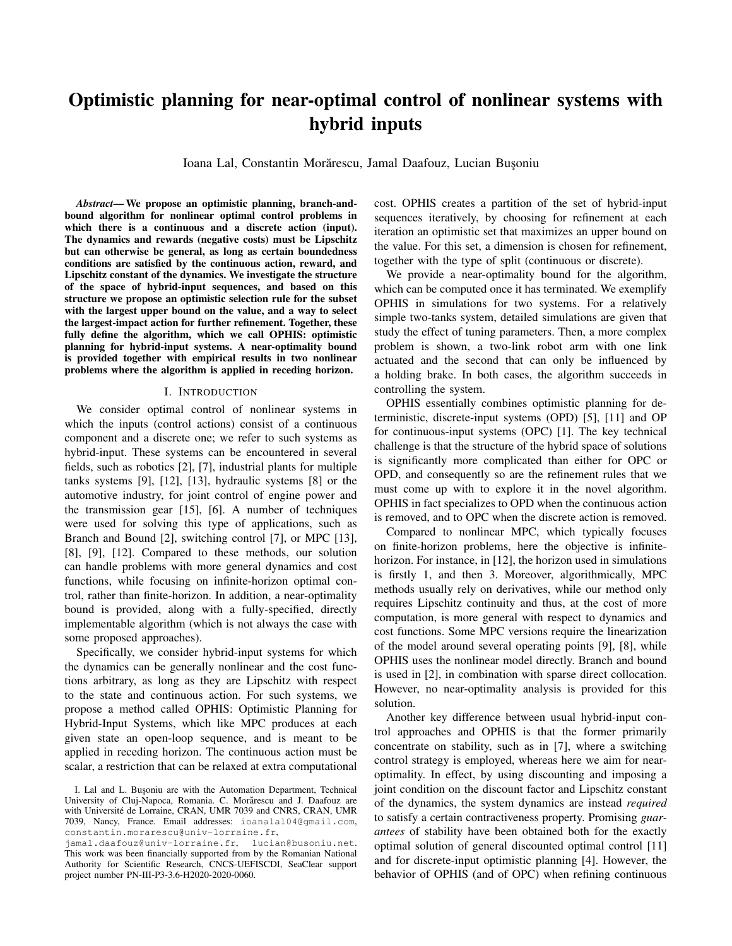# Optimistic planning for near-optimal control of nonlinear systems with hybrid inputs

Ioana Lal, Constantin Morărescu, Jamal Daafouz, Lucian Bușoniu

*Abstract*— We propose an optimistic planning, branch-andbound algorithm for nonlinear optimal control problems in which there is a continuous and a discrete action (input). The dynamics and rewards (negative costs) must be Lipschitz but can otherwise be general, as long as certain boundedness conditions are satisfied by the continuous action, reward, and Lipschitz constant of the dynamics. We investigate the structure of the space of hybrid-input sequences, and based on this structure we propose an optimistic selection rule for the subset with the largest upper bound on the value, and a way to select the largest-impact action for further refinement. Together, these fully define the algorithm, which we call OPHIS: optimistic planning for hybrid-input systems. A near-optimality bound is provided together with empirical results in two nonlinear problems where the algorithm is applied in receding horizon.

#### I. INTRODUCTION

We consider optimal control of nonlinear systems in which the inputs (control actions) consist of a continuous component and a discrete one; we refer to such systems as hybrid-input. These systems can be encountered in several fields, such as robotics [2], [7], industrial plants for multiple tanks systems [9], [12], [13], hydraulic systems [8] or the automotive industry, for joint control of engine power and the transmission gear [15], [6]. A number of techniques were used for solving this type of applications, such as Branch and Bound [2], switching control [7], or MPC [13], [8], [9], [12]. Compared to these methods, our solution can handle problems with more general dynamics and cost functions, while focusing on infinite-horizon optimal control, rather than finite-horizon. In addition, a near-optimality bound is provided, along with a fully-specified, directly implementable algorithm (which is not always the case with some proposed approaches).

Specifically, we consider hybrid-input systems for which the dynamics can be generally nonlinear and the cost functions arbitrary, as long as they are Lipschitz with respect to the state and continuous action. For such systems, we propose a method called OPHIS: Optimistic Planning for Hybrid-Input Systems, which like MPC produces at each given state an open-loop sequence, and is meant to be applied in receding horizon. The continuous action must be scalar, a restriction that can be relaxed at extra computational

cost. OPHIS creates a partition of the set of hybrid-input sequences iteratively, by choosing for refinement at each iteration an optimistic set that maximizes an upper bound on the value. For this set, a dimension is chosen for refinement, together with the type of split (continuous or discrete).

We provide a near-optimality bound for the algorithm, which can be computed once it has terminated. We exemplify OPHIS in simulations for two systems. For a relatively simple two-tanks system, detailed simulations are given that study the effect of tuning parameters. Then, a more complex problem is shown, a two-link robot arm with one link actuated and the second that can only be influenced by a holding brake. In both cases, the algorithm succeeds in controlling the system.

OPHIS essentially combines optimistic planning for deterministic, discrete-input systems (OPD) [5], [11] and OP for continuous-input systems (OPC) [1]. The key technical challenge is that the structure of the hybrid space of solutions is significantly more complicated than either for OPC or OPD, and consequently so are the refinement rules that we must come up with to explore it in the novel algorithm. OPHIS in fact specializes to OPD when the continuous action is removed, and to OPC when the discrete action is removed.

Compared to nonlinear MPC, which typically focuses on finite-horizon problems, here the objective is infinitehorizon. For instance, in [12], the horizon used in simulations is firstly 1, and then 3. Moreover, algorithmically, MPC methods usually rely on derivatives, while our method only requires Lipschitz continuity and thus, at the cost of more computation, is more general with respect to dynamics and cost functions. Some MPC versions require the linearization of the model around several operating points [9], [8], while OPHIS uses the nonlinear model directly. Branch and bound is used in [2], in combination with sparse direct collocation. However, no near-optimality analysis is provided for this solution.

Another key difference between usual hybrid-input control approaches and OPHIS is that the former primarily concentrate on stability, such as in [7], where a switching control strategy is employed, whereas here we aim for nearoptimality. In effect, by using discounting and imposing a joint condition on the discount factor and Lipschitz constant of the dynamics, the system dynamics are instead *required* to satisfy a certain contractiveness property. Promising *guarantees* of stability have been obtained both for the exactly optimal solution of general discounted optimal control [11] and for discrete-input optimistic planning [4]. However, the behavior of OPHIS (and of OPC) when refining continuous

I. Lal and L. Buşoniu are with the Automation Department, Technical University of Cluj-Napoca, Romania. C. Morărescu and J. Daafouz are with Université de Lorraine, CRAN, UMR 7039 and CNRS, CRAN, UMR 7039, Nancy, France. Email addresses: ioanalal04@gmail.com, constantin.morarescu@univ-lorraine.fr,

jamal.daafouz@univ-lorraine.fr, lucian@busoniu.net. This work was been financially supported from by the Romanian National Authority for Scientific Research, CNCS-UEFISCDI, SeaClear support project number PN-III-P3-3.6-H2020-2020-0060.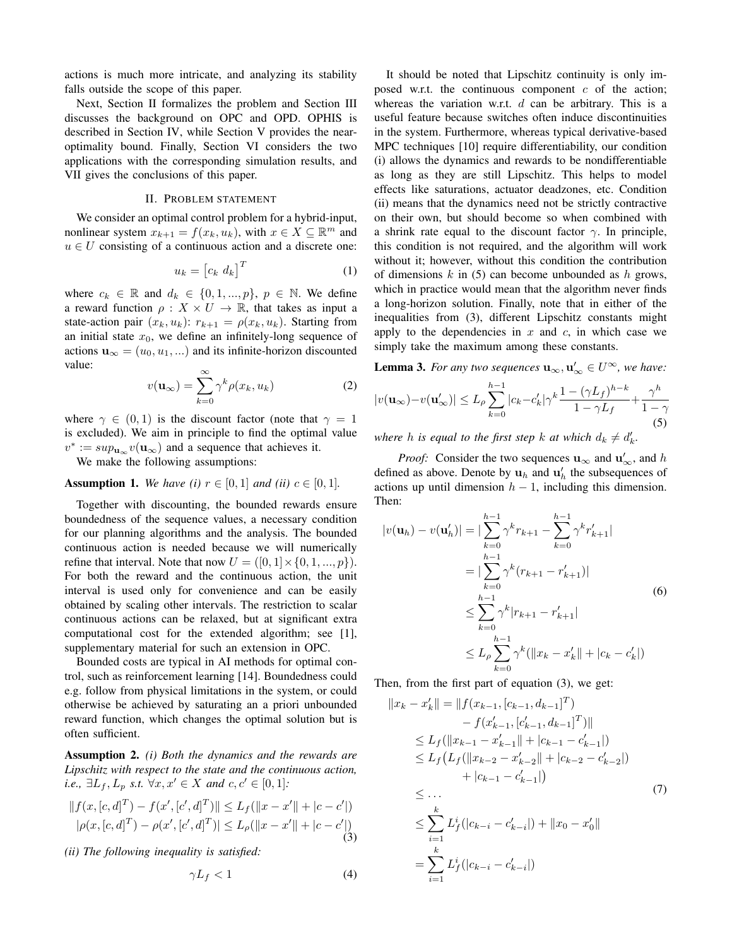actions is much more intricate, and analyzing its stability falls outside the scope of this paper.

Next, Section II formalizes the problem and Section III discusses the background on OPC and OPD. OPHIS is described in Section IV, while Section V provides the nearoptimality bound. Finally, Section VI considers the two applications with the corresponding simulation results, and VII gives the conclusions of this paper.

# II. PROBLEM STATEMENT

We consider an optimal control problem for a hybrid-input, nonlinear system  $x_{k+1} = f(x_k, u_k)$ , with  $x \in X \subseteq \mathbb{R}^m$  and  $u \in U$  consisting of a continuous action and a discrete one:

$$
u_k = \begin{bmatrix} c_k & d_k \end{bmatrix}^T \tag{1}
$$

where  $c_k \in \mathbb{R}$  and  $d_k \in \{0, 1, ..., p\}$ ,  $p \in \mathbb{N}$ . We define a reward function  $\rho: X \times U \to \mathbb{R}$ , that takes as input a state-action pair  $(x_k, u_k)$ :  $r_{k+1} = \rho(x_k, u_k)$ . Starting from an initial state  $x_0$ , we define an infinitely-long sequence of actions  $\mathbf{u}_{\infty} = (u_0, u_1, ...)$  and its infinite-horizon discounted value:

$$
v(\mathbf{u}_{\infty}) = \sum_{k=0}^{\infty} \gamma^k \rho(x_k, u_k)
$$
 (2)

where  $\gamma \in (0,1)$  is the discount factor (note that  $\gamma = 1$ is excluded). We aim in principle to find the optimal value  $v^* := \sup_{\mathbf{u}_{\infty}} v(\mathbf{u}_{\infty})$  and a sequence that achieves it.

We make the following assumptions:

# **Assumption 1.** *We have (i)*  $r \in [0, 1]$  *and (ii)*  $c \in [0, 1]$ *.*

Together with discounting, the bounded rewards ensure boundedness of the sequence values, a necessary condition for our planning algorithms and the analysis. The bounded continuous action is needed because we will numerically refine that interval. Note that now  $U = ([0, 1] \times \{0, 1, ..., p\}).$ For both the reward and the continuous action, the unit interval is used only for convenience and can be easily obtained by scaling other intervals. The restriction to scalar continuous actions can be relaxed, but at significant extra computational cost for the extended algorithm; see [1], supplementary material for such an extension in OPC.

Bounded costs are typical in AI methods for optimal control, such as reinforcement learning [14]. Boundedness could e.g. follow from physical limitations in the system, or could otherwise be achieved by saturating an a priori unbounded reward function, which changes the optimal solution but is often sufficient.

Assumption 2. *(i) Both the dynamics and the rewards are Lipschitz with respect to the state and the continuous action, i.e.*,  $\exists L_f, L_p \text{ s.t. } \forall x, x' \in X \text{ and } c, c' \in [0, 1]:$ 

$$
|| f(x, [c, d]^T) - f(x', [c', d]^T)|| \le L_f(||x - x'|| + |c - c'|)
$$
  
 
$$
|\rho(x, [c, d]^T) - \rho(x', [c', d]^T)| \le L_{\rho}(||x - x'|| + |c - c'|)
$$
  
(3)

*(ii) The following inequality is satisfied:*

$$
\gamma L_f < 1\tag{4}
$$

It should be noted that Lipschitz continuity is only imposed w.r.t. the continuous component  $c$  of the action; whereas the variation w.r.t.  $d$  can be arbitrary. This is a useful feature because switches often induce discontinuities in the system. Furthermore, whereas typical derivative-based MPC techniques [10] require differentiability, our condition (i) allows the dynamics and rewards to be nondifferentiable as long as they are still Lipschitz. This helps to model effects like saturations, actuator deadzones, etc. Condition (ii) means that the dynamics need not be strictly contractive on their own, but should become so when combined with a shrink rate equal to the discount factor  $\gamma$ . In principle, this condition is not required, and the algorithm will work without it; however, without this condition the contribution of dimensions  $k$  in (5) can become unbounded as  $h$  grows, which in practice would mean that the algorithm never finds a long-horizon solution. Finally, note that in either of the inequalities from (3), different Lipschitz constants might apply to the dependencies in  $x$  and  $c$ , in which case we simply take the maximum among these constants.

**Lemma 3.** For any two sequences  $\mathbf{u}_{\infty}, \mathbf{u}'_{\infty} \in U^{\infty}$ , we have:

$$
|v(\mathbf{u}_{\infty})-v(\mathbf{u}'_{\infty})| \le L_{\rho} \sum_{k=0}^{h-1} |c_k - c'_k| \gamma^k \frac{1 - (\gamma L_f)^{h-k}}{1 - \gamma L_f} + \frac{\gamma^h}{1 - \gamma}
$$
(5)

where h is equal to the first step k at which  $d_k \neq d'_k$ .

*Proof:* Consider the two sequences  $\mathbf{u}_{\infty}$  and  $\mathbf{u}'_{\infty}$ , and h defined as above. Denote by  $\mathbf{u}_h$  and  $\mathbf{u}'_h$  the subsequences of actions up until dimension  $h - 1$ , including this dimension. Then:

$$
|v(\mathbf{u}_h) - v(\mathbf{u}'_h)| = |\sum_{k=0}^{h-1} \gamma^k r_{k+1} - \sum_{k=0}^{h-1} \gamma^k r'_{k+1}|
$$
  
\n
$$
= |\sum_{k=0}^{h-1} \gamma^k (r_{k+1} - r'_{k+1})|
$$
  
\n
$$
\leq \sum_{k=0}^{h-1} \gamma^k |r_{k+1} - r'_{k+1}|
$$
  
\n
$$
\leq L_\rho \sum_{k=0}^{h-1} \gamma^k (||x_k - x'_k|| + |c_k - c'_k|)
$$
 (6)

Then, from the first part of equation (3), we get:

$$
||x_{k} - x'_{k}|| = ||f(x_{k-1}, [c_{k-1}, d_{k-1}]^{T})
$$
  
\t
$$
- f(x'_{k-1}, [c'_{k-1}, d_{k-1}]^{T})||
$$
  
\t
$$
\leq L_{f} (||x_{k-1} - x'_{k-1}|| + |c_{k-1} - c'_{k-1}|)
$$
  
\t
$$
\leq L_{f} (L_{f} (||x_{k-2} - x'_{k-2}|| + |c_{k-2} - c'_{k-2}|)
$$
  
\t
$$
+ |c_{k-1} - c'_{k-1}|)
$$
  
\t
$$
\leq \sum_{i=1}^{k} L_{f}^{i} (|c_{k-i} - c'_{k-i}|) + ||x_{0} - x'_{0}||
$$
  
\t
$$
= \sum_{i=1}^{k} L_{f}^{i} (|c_{k-i} - c'_{k-i}|)
$$
  
(7)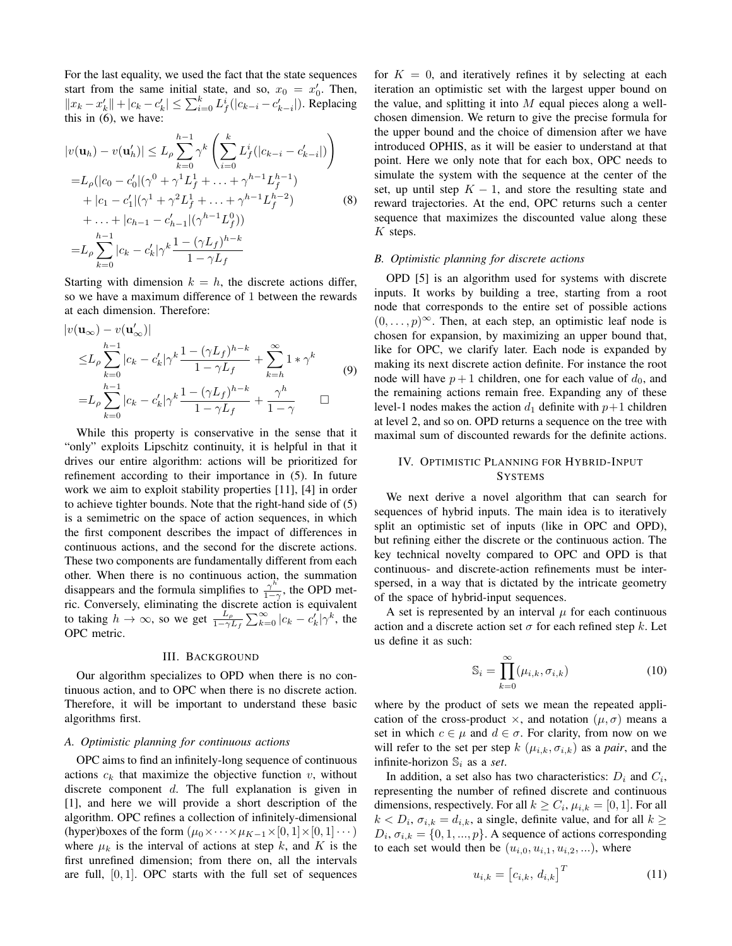For the last equality, we used the fact that the state sequences start from the same initial state, and so,  $x_0 = x'_0$ . Then,  $||x_k - x'_k|| + |c_k - c'_k| \le \sum_{i=0}^k L_f^i(|c_{k-i} - c'_{k-i}|)$ . Replacing this in (6), we have:

$$
|v(\mathbf{u}_h) - v(\mathbf{u}'_h)| \le L_\rho \sum_{k=0}^{h-1} \gamma^k \left( \sum_{i=0}^k L_f^i(|c_{k-i} - c'_{k-i}|) \right)
$$
  
\n
$$
= L_\rho(|c_0 - c'_0| (\gamma^0 + \gamma^1 L_f^1 + \dots + \gamma^{h-1} L_f^{h-1})
$$
  
\n
$$
+ |c_1 - c'_1| (\gamma^1 + \gamma^2 L_f^1 + \dots + \gamma^{h-1} L_f^{h-2})
$$
  
\n
$$
+ \dots + |c_{h-1} - c'_{h-1}| (\gamma^{h-1} L_f^0)
$$
  
\n
$$
= L_\rho \sum_{k=0}^{h-1} |c_k - c'_k| \gamma^k \frac{1 - (\gamma L_f)^{h-k}}{1 - \gamma L_f}
$$
 (8)

Starting with dimension  $k = h$ , the discrete actions differ, so we have a maximum difference of 1 between the rewards at each dimension. Therefore:

$$
|v(\mathbf{u}_{\infty}) - v(\mathbf{u}'_{\infty})|
$$
  
\n
$$
\leq L_{\rho} \sum_{k=0}^{h-1} |c_k - c'_k| \gamma^k \frac{1 - (\gamma L_f)^{h-k}}{1 - \gamma L_f} + \sum_{k=h}^{\infty} 1 * \gamma^k
$$
  
\n
$$
= L_{\rho} \sum_{k=0}^{h-1} |c_k - c'_k| \gamma^k \frac{1 - (\gamma L_f)^{h-k}}{1 - \gamma L_f} + \frac{\gamma^h}{1 - \gamma}
$$
 (9)

While this property is conservative in the sense that it "only" exploits Lipschitz continuity, it is helpful in that it drives our entire algorithm: actions will be prioritized for refinement according to their importance in (5). In future work we aim to exploit stability properties [11], [4] in order to achieve tighter bounds. Note that the right-hand side of (5) is a semimetric on the space of action sequences, in which the first component describes the impact of differences in continuous actions, and the second for the discrete actions. These two components are fundamentally different from each other. When there is no continuous action, the summation disappears and the formula simplifies to  $\frac{\gamma^h}{1-\gamma}$  $\frac{\gamma}{1-\gamma}$ , the OPD metric. Conversely, eliminating the discrete action is equivalent to taking  $h \to \infty$ , so we get  $\frac{L_{\rho}}{1-\gamma L_f} \sum_{k=0}^{\infty} |c_k - c'_k| \gamma^k$ , the OPC metric.

## III. BACKGROUND

Our algorithm specializes to OPD when there is no continuous action, and to OPC when there is no discrete action. Therefore, it will be important to understand these basic algorithms first.

### *A. Optimistic planning for continuous actions*

OPC aims to find an infinitely-long sequence of continuous actions  $c_k$  that maximize the objective function  $v$ , without discrete component d. The full explanation is given in [1], and here we will provide a short description of the algorithm. OPC refines a collection of infinitely-dimensional (hyper)boxes of the form  $(\mu_0 \times \cdots \times \mu_{K-1} \times [0, 1] \times [0, 1] \cdots)$ where  $\mu_k$  is the interval of actions at step k, and K is the first unrefined dimension; from there on, all the intervals are full,  $[0, 1]$ . OPC starts with the full set of sequences for  $K = 0$ , and iteratively refines it by selecting at each iteration an optimistic set with the largest upper bound on the value, and splitting it into  $M$  equal pieces along a wellchosen dimension. We return to give the precise formula for the upper bound and the choice of dimension after we have introduced OPHIS, as it will be easier to understand at that point. Here we only note that for each box, OPC needs to simulate the system with the sequence at the center of the set, up until step  $K - 1$ , and store the resulting state and reward trajectories. At the end, OPC returns such a center sequence that maximizes the discounted value along these  $K$  steps.

# *B. Optimistic planning for discrete actions*

OPD [5] is an algorithm used for systems with discrete inputs. It works by building a tree, starting from a root node that corresponds to the entire set of possible actions  $(0, \ldots, p)^\infty$ . Then, at each step, an optimistic leaf node is chosen for expansion, by maximizing an upper bound that, like for OPC, we clarify later. Each node is expanded by making its next discrete action definite. For instance the root node will have  $p+1$  children, one for each value of  $d_0$ , and the remaining actions remain free. Expanding any of these level-1 nodes makes the action  $d_1$  definite with  $p+1$  children at level 2, and so on. OPD returns a sequence on the tree with maximal sum of discounted rewards for the definite actions.

# IV. OPTIMISTIC PLANNING FOR HYBRID-INPUT **SYSTEMS**

We next derive a novel algorithm that can search for sequences of hybrid inputs. The main idea is to iteratively split an optimistic set of inputs (like in OPC and OPD), but refining either the discrete or the continuous action. The key technical novelty compared to OPC and OPD is that continuous- and discrete-action refinements must be interspersed, in a way that is dictated by the intricate geometry of the space of hybrid-input sequences.

A set is represented by an interval  $\mu$  for each continuous action and a discrete action set  $\sigma$  for each refined step k. Let us define it as such:

$$
\mathbb{S}_i = \prod_{k=0}^{\infty} (\mu_{i,k}, \sigma_{i,k})
$$
 (10)

where by the product of sets we mean the repeated application of the cross-product  $\times$ , and notation  $(\mu, \sigma)$  means a set in which  $c \in \mu$  and  $d \in \sigma$ . For clarity, from now on we will refer to the set per step  $k$  ( $\mu_{i,k}, \sigma_{i,k}$ ) as a *pair*, and the infinite-horizon  $\mathbb{S}_i$  as a *set*.

In addition, a set also has two characteristics:  $D_i$  and  $C_i$ , representing the number of refined discrete and continuous dimensions, respectively. For all  $k \geq C_i$ ,  $\mu_{i,k} = [0,1]$ . For all  $k < D_i$ ,  $\sigma_{i,k} = d_{i,k}$ , a single, definite value, and for all  $k \geq$  $D_i$ ,  $\sigma_{i,k} = \{0, 1, ..., p\}$ . A sequence of actions corresponding to each set would then be  $(u_{i,0}, u_{i,1}, u_{i,2}, \ldots)$ , where

$$
u_{i,k} = \begin{bmatrix} c_{i,k}, d_{i,k} \end{bmatrix}^T
$$
 (11)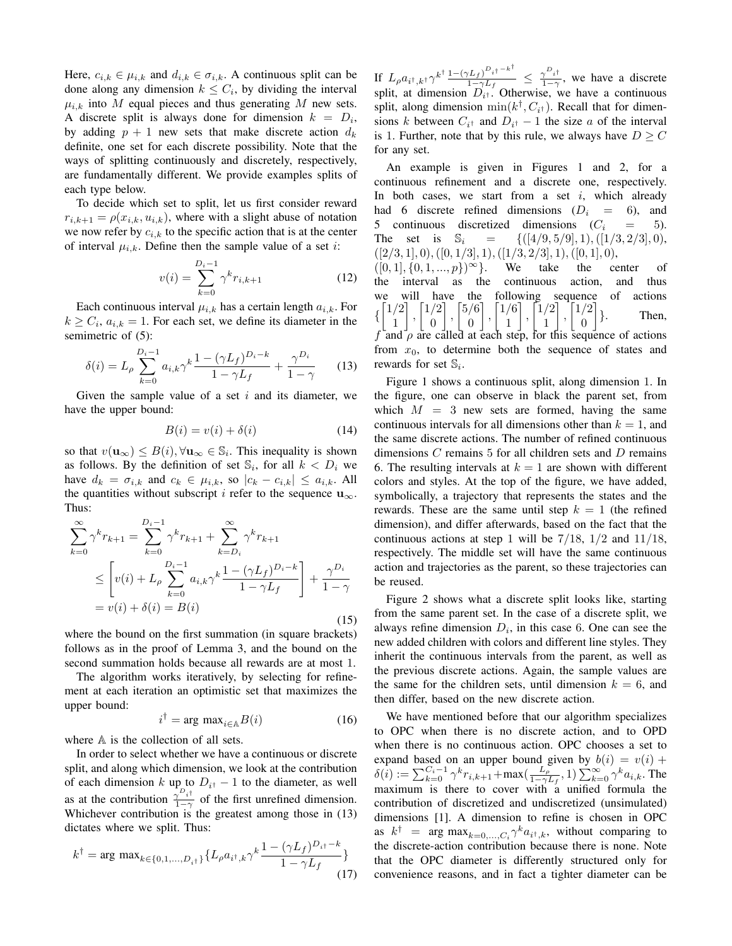Here,  $c_{i,k} \in \mu_{i,k}$  and  $d_{i,k} \in \sigma_{i,k}$ . A continuous split can be done along any dimension  $k \leq C_i$ , by dividing the interval  $\mu_{i,k}$  into M equal pieces and thus generating M new sets. A discrete split is always done for dimension  $k = D_i$ , by adding  $p + 1$  new sets that make discrete action  $d_k$ definite, one set for each discrete possibility. Note that the ways of splitting continuously and discretely, respectively, are fundamentally different. We provide examples splits of each type below.

To decide which set to split, let us first consider reward  $r_{i,k+1} = \rho(x_{i,k}, u_{i,k})$ , where with a slight abuse of notation we now refer by  $c_{i,k}$  to the specific action that is at the center of interval  $\mu_{i,k}$ . Define then the sample value of a set *i*:

$$
v(i) = \sum_{k=0}^{D_i - 1} \gamma^k r_{i,k+1}
$$
 (12)

Each continuous interval  $\mu_{i,k}$  has a certain length  $a_{i,k}$ . For  $k \geq C_i$ ,  $a_{i,k} = 1$ . For each set, we define its diameter in the semimetric of  $(5)$ :

$$
\delta(i) = L_{\rho} \sum_{k=0}^{D_i - 1} a_{i,k} \gamma^k \frac{1 - (\gamma L_f)^{D_i - k}}{1 - \gamma L_f} + \frac{\gamma^{D_i}}{1 - \gamma} \tag{13}
$$

Given the sample value of a set  $i$  and its diameter, we have the upper bound:

$$
B(i) = v(i) + \delta(i) \tag{14}
$$

so that  $v(\mathbf{u}_{\infty}) \leq B(i), \forall \mathbf{u}_{\infty} \in \mathbb{S}_i$ . This inequality is shown as follows. By the definition of set  $\mathbb{S}_i$ , for all  $k < D_i$  we have  $d_k = \sigma_{i,k}$  and  $c_k \in \mu_{i,k}$ , so  $|c_k - c_{i,k}| \leq a_{i,k}$ . All the quantities without subscript i refer to the sequence  $\mathbf{u}_{\infty}$ . Thus:

$$
\sum_{k=0}^{\infty} \gamma^k r_{k+1} = \sum_{k=0}^{D_i - 1} \gamma^k r_{k+1} + \sum_{k=D_i}^{\infty} \gamma^k r_{k+1}
$$
  
\n
$$
\leq \left[ v(i) + L_\rho \sum_{k=0}^{D_i - 1} a_{i,k} \gamma^k \frac{1 - (\gamma L_f)^{D_i - k}}{1 - \gamma L_f} \right] + \frac{\gamma^{D_i}}{1 - \gamma}
$$
  
\n
$$
= v(i) + \delta(i) = B(i)
$$
\n(15)

where the bound on the first summation (in square brackets) follows as in the proof of Lemma 3, and the bound on the second summation holds because all rewards are at most 1.

The algorithm works iteratively, by selecting for refinement at each iteration an optimistic set that maximizes the upper bound:

$$
i^{\dagger} = \arg \max_{i \in \mathbb{A}} B(i) \tag{16}
$$

where  $A$  is the collection of all sets.

In order to select whether we have a continuous or discrete split, and along which dimension, we look at the contribution of each dimension k up to  $D_{i^{\dagger}} - 1$  to the diameter, as well as at the contribution  $\frac{1}{1-\alpha}$  $\frac{\gamma}{1-\gamma}$  of the first unrefined dimension. Whichever contribution is the greatest among those in (13) dictates where we split. Thus:

$$
k^{\dagger} = \arg \max_{k \in \{0, 1, \dots, D_{i^{\dagger}}\}} \{L_{\rho} a_{i^{\dagger}, k} \gamma^{k} \frac{1 - (\gamma L_{f})^{D_{i^{\dagger}} - k}}{1 - \gamma L_{f}}\}
$$
\n(17)

If  $L_{\rho} a_{i^{\dagger},k^{\dagger}} \gamma^{k^{\dagger}} \frac{1 - (\gamma L_{f})^{D_{i^{\dagger}}} - k^{\dagger}}{1 - \gamma L_{f}}$  $\frac{(L_f)^{D_i \dagger - k^+}}{1 - \gamma L_f} \leq \frac{\gamma^{D_i \dagger}}{1 - \gamma}$  $\frac{\gamma}{1-\gamma}$ , we have a discrete split, at dimension  $D_{i<sup>†</sup>}$ . Otherwise, we have a continuous split, along dimension  $\min(k^{\dagger}, C_{i^{\dagger}})$ . Recall that for dimensions k between  $C_{i^{\dagger}}$  and  $D_{i^{\dagger}} - 1$  the size a of the interval is 1. Further, note that by this rule, we always have  $D \geq C$ for any set.

An example is given in Figures 1 and 2, for a continuous refinement and a discrete one, respectively. In both cases, we start from a set  $i$ , which already had 6 discrete refined dimensions  $(D_i = 6)$ , and 5 continuous discretized dimensions  $(C_i = 5)$ . The set is  $\mathbb{S}_i = \{([4/9, 5/9], 1), ([1/3, 2/3], 0),\}$  $([2/3, 1], 0), ([0, 1/3], 1), ([1/3, 2/3], 1), ([0, 1], 0),$  $([0, 1], \{0, 1, ..., p\})^{\infty}$ . We take the center of the interval as the continuous action, and thus we will have the following sequence of actions  $\left\{\begin{bmatrix}1/2\\1\end{bmatrix}\right\}$ 1  $\Big]$ ,  $\Big[ \frac{1}{2} \Big]$ 0  $\Big]$ ,  $\Big[5/6$ 0  $\Big]$ ,  $\Big[ \frac{1}{6} \Big]$ 1  $\left[ \begin{array}{c} 1/2 \\ 1 \end{array} \right]$ 1  $\left[\begin{array}{c}1/2\\0\end{array}\right]$ 0 1 Then, f and  $\rho$  are called at each step, for this sequence of actions from  $x_0$ , to determine both the sequence of states and rewards for set  $\mathbb{S}_i$ .

Figure 1 shows a continuous split, along dimension 1. In the figure, one can observe in black the parent set, from which  $M = 3$  new sets are formed, having the same continuous intervals for all dimensions other than  $k = 1$ , and the same discrete actions. The number of refined continuous dimensions  $C$  remains  $5$  for all children sets and  $D$  remains 6. The resulting intervals at  $k = 1$  are shown with different colors and styles. At the top of the figure, we have added, symbolically, a trajectory that represents the states and the rewards. These are the same until step  $k = 1$  (the refined dimension), and differ afterwards, based on the fact that the continuous actions at step 1 will be  $7/18$ ,  $1/2$  and  $11/18$ , respectively. The middle set will have the same continuous action and trajectories as the parent, so these trajectories can be reused.

Figure 2 shows what a discrete split looks like, starting from the same parent set. In the case of a discrete split, we always refine dimension  $D_i$ , in this case 6. One can see the new added children with colors and different line styles. They inherit the continuous intervals from the parent, as well as the previous discrete actions. Again, the sample values are the same for the children sets, until dimension  $k = 6$ , and then differ, based on the new discrete action.

We have mentioned before that our algorithm specializes to OPC when there is no discrete action, and to OPD when there is no continuous action. OPC chooses a set to expand based on an upper bound given by  $b(i) = v(i) +$  $\delta(i) := \sum_{k=0}^{C_i-1} \gamma^k r_{i,k+1} + \max(\frac{L_p}{1-\gamma})$  $\frac{L_{\rho}}{1-\gamma L_f}$ , 1)  $\sum_{k=0}^{\infty} \gamma^k a_{i,k}$ . The maximum is there to cover with a unified formula the contribution of discretized and undiscretized (unsimulated) dimensions [1]. A dimension to refine is chosen in OPC as  $k^{\dagger}$  = arg max $_{k=0,...,C_i} \gamma^k a_{i^{\dagger},k}$ , without comparing to the discrete-action contribution because there is none. Note that the OPC diameter is differently structured only for convenience reasons, and in fact a tighter diameter can be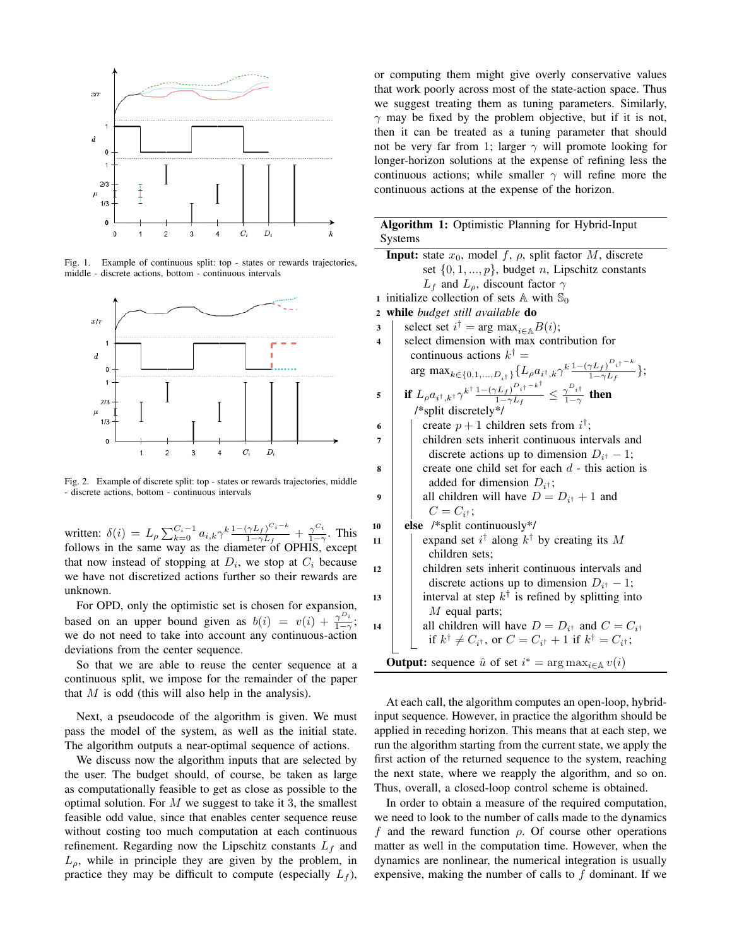

Fig. 1. Example of continuous split: top - states or rewards trajectories, middle - discrete actions, bottom - continuous intervals



Fig. 2. Example of discrete split: top - states or rewards trajectories, middle - discrete actions, bottom - continuous intervals

written:  $\delta(i) = L_\rho \sum_{k=0}^{C_i-1} a_{i,k} \gamma^k \frac{1-(\gamma L_f)^{C_i-k}}{1-\gamma L_f}$  $\frac{(\gamma L_f)^{C_i-k}}{1-\gamma L_f}+\frac{\gamma^{C_i}}{1-\gamma}$  $rac{\gamma}{1-\gamma}$ . This follows in the same way as the diameter of OPHIS, except that now instead of stopping at  $D_i$ , we stop at  $C_i$  because we have not discretized actions further so their rewards are unknown.

For OPD, only the optimistic set is chosen for expansion, based on an upper bound given as  $b(i) = v(i) + \frac{\gamma^{D_i}}{1-\gamma}$  $\frac{\gamma^{-i}}{1-\gamma}$ ; we do not need to take into account any continuous-action deviations from the center sequence.

So that we are able to reuse the center sequence at a continuous split, we impose for the remainder of the paper that  $M$  is odd (this will also help in the analysis).

Next, a pseudocode of the algorithm is given. We must pass the model of the system, as well as the initial state. The algorithm outputs a near-optimal sequence of actions.

We discuss now the algorithm inputs that are selected by the user. The budget should, of course, be taken as large as computationally feasible to get as close as possible to the optimal solution. For  $M$  we suggest to take it 3, the smallest feasible odd value, since that enables center sequence reuse without costing too much computation at each continuous refinement. Regarding now the Lipschitz constants  $L_f$  and  $L_{\rho}$ , while in principle they are given by the problem, in practice they may be difficult to compute (especially  $L_f$ ), or computing them might give overly conservative values that work poorly across most of the state-action space. Thus we suggest treating them as tuning parameters. Similarly,  $\gamma$  may be fixed by the problem objective, but if it is not, then it can be treated as a tuning parameter that should not be very far from 1; larger  $\gamma$  will promote looking for longer-horizon solutions at the expense of refining less the continuous actions; while smaller  $\gamma$  will refine more the continuous actions at the expense of the horizon.

|         |  |  | Algorithm 1: Optimistic Planning for Hybrid-Input |
|---------|--|--|---------------------------------------------------|
| Systems |  |  |                                                   |

|                | <b>Input:</b> state $x_0$ , model f, $\rho$ , split factor M, discrete                                                                                                          |  |  |  |  |
|----------------|---------------------------------------------------------------------------------------------------------------------------------------------------------------------------------|--|--|--|--|
|                | set $\{0, 1, , p\}$ , budget <i>n</i> , Lipschitz constants                                                                                                                     |  |  |  |  |
|                | $L_f$ and $L_\rho$ , discount factor $\gamma$                                                                                                                                   |  |  |  |  |
| $\mathbf{1}$   | initialize collection of sets $\mathbb A$ with $\mathbb S_0$                                                                                                                    |  |  |  |  |
| $\overline{2}$ | while budget still available do                                                                                                                                                 |  |  |  |  |
| 3              | select set $i^{\dagger} = \arg \max_{i \in A} B(i);$                                                                                                                            |  |  |  |  |
| 4              | select dimension with max contribution for                                                                                                                                      |  |  |  |  |
|                | continuous actions $k^{\dagger} =$                                                                                                                                              |  |  |  |  |
|                | arg max <sub><math>k \in \{0, 1, , D_{i\uparrow}\}\</math></sub> $\{L_{\rho}a_{i\uparrow}, k\gamma^{k}\frac{1-(\gamma L_{f})^{\nu_{i\uparrow}-k}}{1-\gamma L_{f}}\};$           |  |  |  |  |
| 5              | if $L_{\rho}a_{i^{\dagger},k^{\dagger}}\gamma^{k^{\dagger}}\frac{1-(\gamma L_{f})^{D}i^{\dagger-k^{\dagger}}}{1-\gamma L_{f}} \leq \frac{\gamma^{D}i^{\dagger}}{1-\gamma}$ then |  |  |  |  |
|                | /*split discretely*/                                                                                                                                                            |  |  |  |  |
| 6              | create $p + 1$ children sets from $i^{\dagger}$ ;                                                                                                                               |  |  |  |  |
| 7              | children sets inherit continuous intervals and                                                                                                                                  |  |  |  |  |
|                | discrete actions up to dimension $D_{i^{\dagger}} - 1$ ;                                                                                                                        |  |  |  |  |
| 8              | create one child set for each $d$ - this action is                                                                                                                              |  |  |  |  |
|                | added for dimension $D_{i^{\dagger}}$ ;                                                                                                                                         |  |  |  |  |
| 9              | all children will have $D = D_{i^{\dagger}} + 1$ and                                                                                                                            |  |  |  |  |
|                | $C=C_{i^{\dagger}}$                                                                                                                                                             |  |  |  |  |
| 10             | else /*split continuously*/                                                                                                                                                     |  |  |  |  |
| 11             | expand set $i^{\dagger}$ along $k^{\dagger}$ by creating its M                                                                                                                  |  |  |  |  |
|                | children sets:                                                                                                                                                                  |  |  |  |  |
| 12             | children sets inherit continuous intervals and                                                                                                                                  |  |  |  |  |
|                | discrete actions up to dimension $D_{i^{\dagger}} - 1$ ;                                                                                                                        |  |  |  |  |
| 13             | interval at step $k^{\dagger}$ is refined by splitting into                                                                                                                     |  |  |  |  |
|                | $M$ equal parts;                                                                                                                                                                |  |  |  |  |
| 14             | all children will have $D = D_{i^{\dagger}}$ and $C = C_{i^{\dagger}}$                                                                                                          |  |  |  |  |
|                | if $k^{\dagger} \neq C_{i^{\dagger}}$ , or $C = C_{i^{\dagger}} + 1$ if $k^{\dagger} = C_{i^{\dagger}}$ ;                                                                       |  |  |  |  |
|                | <b>Output:</b> sequence $\hat{u}$ of set $i^* = \arg \max_{i \in \mathbb{A}} v(i)$                                                                                              |  |  |  |  |

At each call, the algorithm computes an open-loop, hybridinput sequence. However, in practice the algorithm should be applied in receding horizon. This means that at each step, we run the algorithm starting from the current state, we apply the first action of the returned sequence to the system, reaching the next state, where we reapply the algorithm, and so on. Thus, overall, a closed-loop control scheme is obtained.

In order to obtain a measure of the required computation, we need to look to the number of calls made to the dynamics f and the reward function  $\rho$ . Of course other operations matter as well in the computation time. However, when the dynamics are nonlinear, the numerical integration is usually expensive, making the number of calls to  $f$  dominant. If we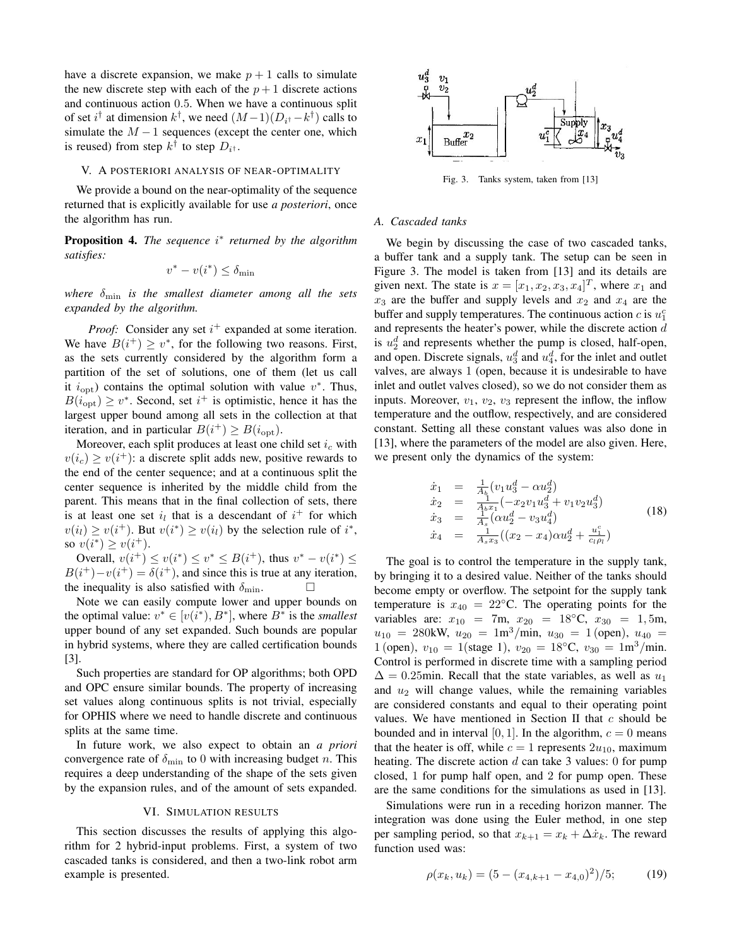have a discrete expansion, we make  $p + 1$  calls to simulate the new discrete step with each of the  $p + 1$  discrete actions and continuous action 0.5. When we have a continuous split of set  $i^{\dagger}$  at dimension  $k^{\dagger}$ , we need  $(M-1)(D_{i^{\dagger}}-k^{\dagger})$  calls to simulate the  $M - 1$  sequences (except the center one, which is reused) from step  $k^{\dagger}$  to step  $D_{i^{\dagger}}$ .

# V. A POSTERIORI ANALYSIS OF NEAR-OPTIMALITY

We provide a bound on the near-optimality of the sequence returned that is explicitly available for use *a posteriori*, once the algorithm has run.

**Proposition 4.** The sequence i<sup>\*</sup> returned by the algorithm *satisfies:*

$$
v^* - v(i^*) \le \delta_{\min}
$$

*where* δmin *is the smallest diameter among all the sets expanded by the algorithm.*

*Proof:* Consider any set  $i^{+}$  expanded at some iteration. We have  $B(i^+) \geq v^*$ , for the following two reasons. First, as the sets currently considered by the algorithm form a partition of the set of solutions, one of them (let us call it  $i_{\text{opt}}$ ) contains the optimal solution with value  $v^*$ . Thus,  $B(i_{\text{opt}}) \geq v^*$ . Second, set  $i^+$  is optimistic, hence it has the largest upper bound among all sets in the collection at that iteration, and in particular  $B(i^+) \ge B(i_{opt})$ .

Moreover, each split produces at least one child set  $i_c$  with  $v(i_c) \ge v(i^+)$ : a discrete split adds new, positive rewards to the end of the center sequence; and at a continuous split the center sequence is inherited by the middle child from the parent. This means that in the final collection of sets, there is at least one set  $i_l$  that is a descendant of  $i^+$  for which  $v(i_l) \ge v(i^+)$ . But  $v(i^*) \ge v(i_l)$  by the selection rule of  $i^*$ , so  $v(i^*) \ge v(i^+).$ 

Overall,  $v(i^+) \le v(i^*) \le v^* \le B(i^+)$ , thus  $v^* - v(i^*) \le$  $B(i^+)-v(i^+) = \delta(i^+)$ , and since this is true at any iteration, the inequality is also satisfied with  $\delta_{\min}$ .

Note we can easily compute lower and upper bounds on the optimal value:  $v^* \in [v(i^*), B^*]$ , where  $B^*$  is the *smallest* upper bound of any set expanded. Such bounds are popular in hybrid systems, where they are called certification bounds [3].

Such properties are standard for OP algorithms; both OPD and OPC ensure similar bounds. The property of increasing set values along continuous splits is not trivial, especially for OPHIS where we need to handle discrete and continuous splits at the same time.

In future work, we also expect to obtain an *a priori* convergence rate of  $\delta_{\min}$  to 0 with increasing budget n. This requires a deep understanding of the shape of the sets given by the expansion rules, and of the amount of sets expanded.

#### VI. SIMULATION RESULTS

This section discusses the results of applying this algorithm for 2 hybrid-input problems. First, a system of two cascaded tanks is considered, and then a two-link robot arm example is presented.



Fig. 3. Tanks system, taken from [13]

# *A. Cascaded tanks*

We begin by discussing the case of two cascaded tanks, a buffer tank and a supply tank. The setup can be seen in Figure 3. The model is taken from [13] and its details are given next. The state is  $x = [x_1, x_2, x_3, x_4]^T$ , where  $x_1$  and  $x_3$  are the buffer and supply levels and  $x_2$  and  $x_4$  are the buffer and supply temperatures. The continuous action  $c$  is  $u_1^c$ and represents the heater's power, while the discrete action d is  $u_2^d$  and represents whether the pump is closed, half-open, and open. Discrete signals,  $u_3^d$  and  $u_4^d$ , for the inlet and outlet valves, are always 1 (open, because it is undesirable to have inlet and outlet valves closed), so we do not consider them as inputs. Moreover,  $v_1$ ,  $v_2$ ,  $v_3$  represent the inflow, the inflow temperature and the outflow, respectively, and are considered constant. Setting all these constant values was also done in [13], where the parameters of the model are also given. Here, we present only the dynamics of the system:

$$
\dot{x}_1 = \frac{1}{A_1}(v_1 u_3^d - \alpha u_2^d) \n\dot{x}_2 = \frac{1}{A_b x_1}(-x_2 v_1 u_3^d + v_1 v_2 u_3^d) \n\dot{x}_3 = \frac{1}{A_s}(\alpha u_2^d - v_3 u_4^d) \n\dot{x}_4 = \frac{1}{A_s x_3}((x_2 - x_4)\alpha u_2^d + \frac{u_1^c}{c_t \rho_t})
$$
\n(18)

The goal is to control the temperature in the supply tank, by bringing it to a desired value. Neither of the tanks should become empty or overflow. The setpoint for the supply tank temperature is  $x_{40} = 22$ °C. The operating points for the variables are:  $x_{10} = 7$ m,  $x_{20} = 18 °C$ ,  $x_{30} = 1, 5$ m,  $u_{10}$  = 280kW,  $u_{20}$  = 1m<sup>3</sup>/min,  $u_{30}$  = 1 (open),  $u_{40}$  = 1 (open),  $v_{10} = 1$ (stage 1),  $v_{20} = 18$ °C,  $v_{30} = 1$ m<sup>3</sup>/min. Control is performed in discrete time with a sampling period  $\Delta = 0.25$ min. Recall that the state variables, as well as  $u_1$ and  $u_2$  will change values, while the remaining variables are considered constants and equal to their operating point values. We have mentioned in Section II that  $c$  should be bounded and in interval [0, 1]. In the algorithm,  $c = 0$  means that the heater is off, while  $c = 1$  represents  $2u_{10}$ , maximum heating. The discrete action  $d$  can take 3 values: 0 for pump closed, 1 for pump half open, and 2 for pump open. These are the same conditions for the simulations as used in [13].

Simulations were run in a receding horizon manner. The integration was done using the Euler method, in one step per sampling period, so that  $x_{k+1} = x_k + \Delta \dot{x}_k$ . The reward function used was:

$$
\rho(x_k, u_k) = (5 - (x_{4,k+1} - x_{4,0})^2)/5; \tag{19}
$$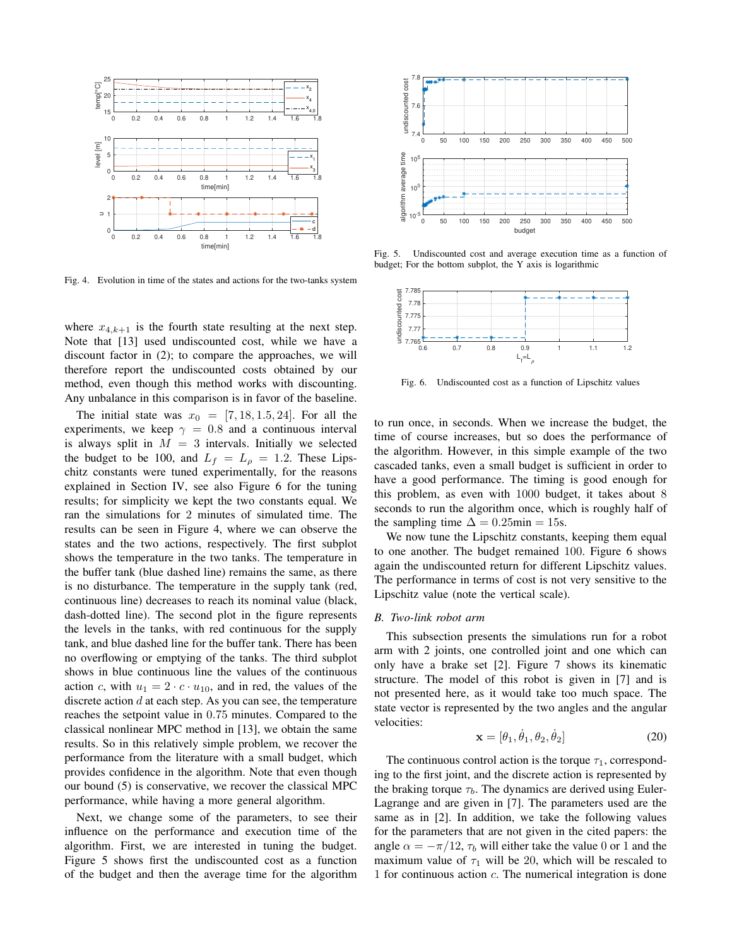

Fig. 4. Evolution in time of the states and actions for the two-tanks system

where  $x_{4,k+1}$  is the fourth state resulting at the next step. Note that [13] used undiscounted cost, while we have a discount factor in (2); to compare the approaches, we will therefore report the undiscounted costs obtained by our method, even though this method works with discounting. Any unbalance in this comparison is in favor of the baseline.

The initial state was  $x_0 = [7, 18, 1.5, 24]$ . For all the experiments, we keep  $\gamma = 0.8$  and a continuous interval is always split in  $M = 3$  intervals. Initially we selected the budget to be 100, and  $L_f = L_\rho = 1.2$ . These Lipschitz constants were tuned experimentally, for the reasons explained in Section IV, see also Figure 6 for the tuning results; for simplicity we kept the two constants equal. We ran the simulations for 2 minutes of simulated time. The results can be seen in Figure 4, where we can observe the states and the two actions, respectively. The first subplot shows the temperature in the two tanks. The temperature in the buffer tank (blue dashed line) remains the same, as there is no disturbance. The temperature in the supply tank (red, continuous line) decreases to reach its nominal value (black, dash-dotted line). The second plot in the figure represents the levels in the tanks, with red continuous for the supply tank, and blue dashed line for the buffer tank. There has been no overflowing or emptying of the tanks. The third subplot shows in blue continuous line the values of the continuous action c, with  $u_1 = 2 \cdot c \cdot u_{10}$ , and in red, the values of the discrete action  $d$  at each step. As you can see, the temperature reaches the setpoint value in 0.75 minutes. Compared to the classical nonlinear MPC method in [13], we obtain the same results. So in this relatively simple problem, we recover the performance from the literature with a small budget, which provides confidence in the algorithm. Note that even though our bound (5) is conservative, we recover the classical MPC performance, while having a more general algorithm.

Next, we change some of the parameters, to see their influence on the performance and execution time of the algorithm. First, we are interested in tuning the budget. Figure 5 shows first the undiscounted cost as a function of the budget and then the average time for the algorithm



Fig. 5. Undiscounted cost and average execution time as a function of budget; For the bottom subplot, the Y axis is logarithmic



Fig. 6. Undiscounted cost as a function of Lipschitz values

to run once, in seconds. When we increase the budget, the time of course increases, but so does the performance of the algorithm. However, in this simple example of the two cascaded tanks, even a small budget is sufficient in order to have a good performance. The timing is good enough for this problem, as even with 1000 budget, it takes about 8 seconds to run the algorithm once, which is roughly half of the sampling time  $\Delta = 0.25$ min = 15s.

We now tune the Lipschitz constants, keeping them equal to one another. The budget remained 100. Figure 6 shows again the undiscounted return for different Lipschitz values. The performance in terms of cost is not very sensitive to the Lipschitz value (note the vertical scale).

# *B. Two-link robot arm*

This subsection presents the simulations run for a robot arm with 2 joints, one controlled joint and one which can only have a brake set [2]. Figure 7 shows its kinematic structure. The model of this robot is given in [7] and is not presented here, as it would take too much space. The state vector is represented by the two angles and the angular velocities:

$$
\mathbf{x} = [\theta_1, \dot{\theta}_1, \theta_2, \dot{\theta}_2]
$$
 (20)

The continuous control action is the torque  $\tau_1$ , corresponding to the first joint, and the discrete action is represented by the braking torque  $\tau_b$ . The dynamics are derived using Euler-Lagrange and are given in [7]. The parameters used are the same as in [2]. In addition, we take the following values for the parameters that are not given in the cited papers: the angle  $\alpha = -\pi/12$ ,  $\tau_b$  will either take the value 0 or 1 and the maximum value of  $\tau_1$  will be 20, which will be rescaled to 1 for continuous action  $c$ . The numerical integration is done